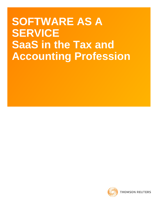# **SOFTWARE AS A SERVICE SaaS in the Tax and Accounting Profession**

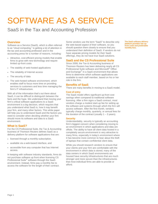# SOFTWARE AS A SERVICE

# SaaS in the Tax and Accounting Profession

# **Overview**

Software as a Service (SaaS), which is often referred to as "cloud computing," is getting a lot of attention in the tax and accounting profession and in the accounting press for a number of reasons, including:

- Attractive, cost-efficient pricing models that enable firms to grow with new technology and require limited up-front costs
- The stability of web-hosted applications
- The reliability of Internet access
- The security of data
- The web-hosted software environment, which enables staff to focus more time on providing services to customers and less time managing the firm's IT infrastructure.

With all of the information that's out there about SaaS, it can be difficult to distinguish between the facts and the hype. We understand that moving your firm's critical software applications to a SaaS environment is a big decision, which requires that you understand what SaaS is, how it may benefit your firm, and many other factors. This white paper will help you to understand SaaS and the factors you need to consider when deciding whether your firm should move its software and data to a SaaS environment.

# **What is SaaS?**

For the CS Professional Suite, the Tax & Accounting business of Thomson Reuters defines SaaS as a delivery platform for software applications that are:

- licensed through a monthly subscription,
- available via a web-based interface, and
- accessible from any computer that has Internet access.

In keeping with software industry standards, firms do not purchase software up front when licensing CS Professional Suite® software through the SaaS environment. Instead, firms pay a monthly fee to access the software for the length of their contract.

Some vendors use the term "SaaS" to describe only the web-based aspect of their software, so you should question them closely to ensure that you understand their definition of SaaS. If vendors do not have separate pricing models for their SaaS offerings, they do not have true SaaS solutions.

# **SaaS and the CS Professional Suite**

Since 2008, the Tax & Accounting business of Thomson Reuters has been delivering nearly all CS Professional Suite software and Microsoft® Office and Exchange® in a SaaS environment that allows firms to determine which software applications are available to each staff member, based on his or her role in the firm.

# **Benefits of SaaS**

There are many benefits in moving to a SaaS model.

## **Cost of entry**

The SaaS model offers significant up-front cost savings when compared to traditional software licensing. After a firm signs a SaaS contract, most vendors charge a modest start-up fee for setting up the software and systems through which the firm will access software. After the first month, vendors typically charge monthly, quarterly, or annual fees for the duration of the contract (usually  $1 - 3$  years).

### **Security**

Understandably, security is typically an accounting firm's biggest concern when considering moving to an environment in which applications and data are offsite. The ability to have all client data hosted in a completely secure environment is very attractive to many firms, especially in today's environment where it has become more common to hear about the theft of laptops that contain confidential client data.

While you should research vendors to ensure that your clients and your firm are comfortable with the environment in which data is stored, many of the data centers in which SaaS environments are housed have security infrastructures that are much stronger and more secure than the infrastructures that most individual firms are able to provide or afford.

**The SaaS software delivery platform provides low upfront costs and predictable monthly fees.**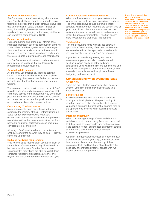#### **Anytime, anywhere access**

SaaS enables your staff to work anywhere at any time. This flexibility can enable your firm to retain talented employees that it might otherwise have lost due to relocation or status changes. In addition, many firms with high seasonal demand find significant value in bringing on temporary staff who can work from home thanks to SaaS.

# **Business continuation**

Hurricane Katrina and other major storms have increased interest in business continuation planning. When offices are destroyed or severely damaged, firms that license locally installed software can find themselves without access to software or data and, therefore, unable to provide service to their clients.

In a SaaS environment, software and data reside in safe, controlled locations that are thoroughly prepared for disaster situations.

#### **Automatic data backups**

All firms that use traditionally licensed software should have automatic backup systems in place. Unfortunately, firms sometimes find out at the worst possible time that their backup systems were not working.

The automatic backup services used by most SaaS providers are constantly maintained to ensure that firms have access to the latest data. You should ask potential SaaS vendors about their backup policies and procedures to ensure that you'll be able to easily access data backups when you need them.

# **Outsourcing IT infrastructure**

Many firms greatly appreciate the opportunity to outsource the majority of their IT infrastructure to a SaaS vendor. Moving software to a SaaS environment reduces the headaches and problems associated with an in-house infrastructure, such as network disruptions, performance problems, data corruption errors, and so on.

Allowing a SaaS vendor to handle those issues enables your staff to do what they do best — provide service to your clients.

### **Reduced hardware requirements**

Web-hosted SaaS models often use a thin-client or smart-client infrastructure that significantly reduces hardware requirements for a firm's computers. Consequently, many firms are able to stretch their computer replacement schedules a year or two beyond the standard three-year replacement cycle.

#### **Automatic updates and version control**

When a software vendor hosts your software, the vendor is responsible for applying software updates. The firm doesn't have to take the time to install updates, which are often issued at the busiest time of year. In addition, if there are ever issues with the software, the vendor can address those issues and install the updates immediately — the firm doesn't have to wait for and then install the updates.

#### **Total solution**

Tax and accounting firms typically use software applications from a variety of vendors. While there are some benefits to this approach, those benefits may not translate well into a SaaS environment.

If your firm is considering moving to a SaaS environment, you should also consider a total solution in which nearly all of the software applications used within the firm are bundled into one convenient package that promotes integration, incurs a standard monthly fee, and simplifies software budgeting and management.

# **Considerations when evaluating SaaS solutions**

There are many factors to consider when deciding whether your firm should move its software to a SaaS environment.

#### **Long-term cost**

As discussed earlier, cost of entry is a benefit of moving to a SaaS platform. The predictability of monthly usage fees also offers a benefit. However, you should compare the total cost of ongoing fees to the up-front fees incurred when licensing software traditionally.

#### **Internet connectivity**

When considering moving software and data to a web-hosted environment, many firms are concerned that they won't have access to their software or data if the software vendor experiences an Internet outage or if the firm's own Internet service provider experiences problems.

Although Internet outages are less of a concern now than they were several years ago, firms should look into vendors' histories and the stability of their environments. In addition, firms should explore the possibility of contracting Internet service with two distinct and separate providers.

**If your firm is considering moving to a SaaS environment, you should also consider a total solution in which nearly all of the software applications used within the firm are bundled into one convenient package that promotes integration, incurs a standard monthly fee, and simplifies software budgeting and management.**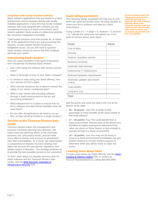### **Integration with locally installed software**

Many software applications that are hosted in a SaaS environment cannot integrate directly with locally installed applications. If your firm has locally installed software that must integrate with software you are considering moving to a SaaS environment, you'll need to question SaaS vendors to determine whether the necessary integration is possible.

Total hosted solutions exist that provide all, or nearly all, of the applications that a tax and accounting firm requires. A total solution should circumvent integration issues, but you will need to question SaaS vendors closely to ensure that their products will meet your needs.

# **Interviewing SaaS vendors**

Here are some examples of the types of questions firms should ask of potential SaaS vendors.

- Can I start using the software with limited up-front costs?
- What is the length of time of your SaaS contracts?
- If I choose to stop using your SaaS offering, how can I access my firm's data?
- What security measures are in place to ensure the safety of our clients' confidential data?
- What is your history with providing software through a SaaS environment for the tax and accounting profession?
- What infrastructure is in place to ensure that my firm's software and data will be available when we need them?
- Do you offer all applications we need to run our firm, so they will all be hosted in a single location?

# **Security at the Thomson Reuters data center**

Thomson Reuters takes risk-management and business continuity planning very seriously. We make extensive planning efforts at the corporate, business unit, and product levels, and we make every effort to assess and account for all potential risks and vulnerabilities. As a result, we implemented a comprehensive disaster-recovery strategy that takes into account the operational, regulatory, and liability impact of disasters. This strategy positions us to provide the best possible service to our customers.

To learn more about our disaster-recovery plan for SaaS software and the Thomson Reuters data center, see the [Web Services: Overview of](http://cs.thomsonreuters.com/products/pdfs/Web_Services_Overview_of_Infrastructure_Security.pdf)  [Infrastructure Security](http://cs.thomsonreuters.com/products/pdfs/Web_Services_Overview_of_Infrastructure_Security.pdf) PDF.

# **SaaS ratings worksheet**

The following ratings worksheet will help you to rank items you need to consider when deciding whether to move your firm's software and data to a SaaS environment.

Using a scale of  $1 - 5$  (high = 5, medium = 3, and low  $= 1$ ), indicate the value your firm places on, or its level of concern about, each factor.

| <b>Factor</b>                            | <b>Points</b> |
|------------------------------------------|---------------|
| Cost of entry                            |               |
| Security                                 |               |
| Anytime, anywhere access                 |               |
| <b>Business continuity</b>               |               |
| Automatic data backups                   |               |
| Outsourcing IT infrastructure            |               |
| Reduced hardware requirements            |               |
| Automatic updates and version<br>control |               |
| <b>Total solution</b>                    |               |
| Long-term cost                           |               |
| Total                                    |               |

Add the points and enter the total in the row at the bottom of the table.

- **35 50 points:** Your firm is ready to take advantage of many benefits of the SaaS model of licensing software.
- **17 34 points:** Your firm could benefit from a SaaS environment. Review each of the factors you identified as highly important to determine if the value you place on those factors is high enough to warrant moving to a SaaS environment.
- **10 16 points:** Your firm may not be ready to move to a SaaS environment immediately, but you should continue to monitor market progress to determine when you will be ready to make this move.

# **Learning more about SaaS**

To learn more about our SaaS offering, see the [SaaS](http://cs.thomsonreuters.com/products/pdfs/SaaS_Pricing_Fact_Sheet.pdf)  **[Leasing & Delivery Option P](http://cs.thomsonreuters.com/products/pdfs/SaaS_Pricing_Fact_Sheet.pdf)DF or contact an** Account Representative by calling 800.968.8900.

**Thomson Reuters takes riskmanagement and businesscontinuity planning very seriously. We make extensive planning efforts at the corporate, business unit, and product levels, and we make every effort to assess and account for all potential risks and vulnerabilities.**